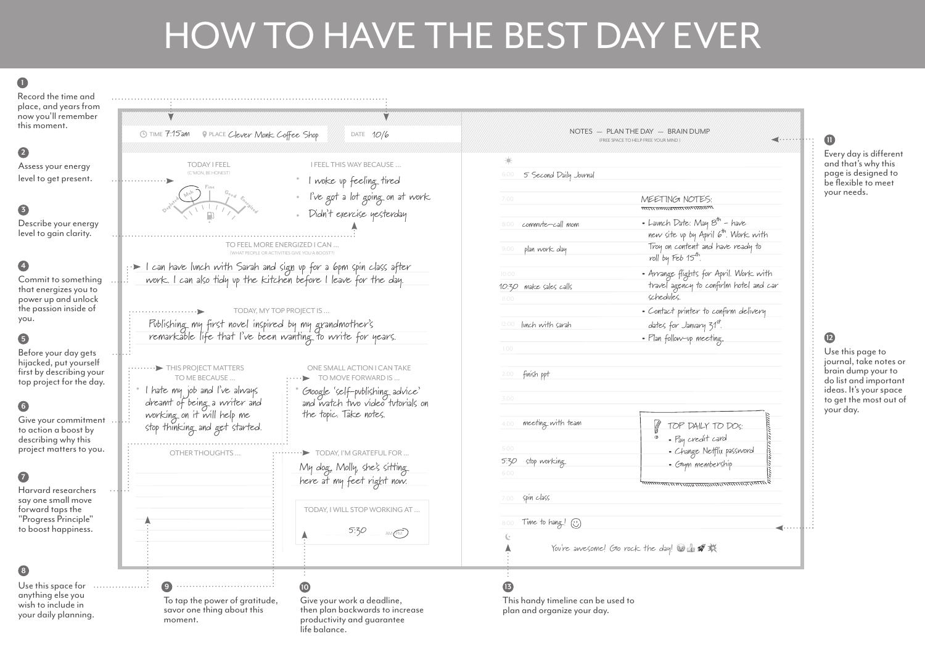## HOW TO HAVE THE BEST DAY EVER

**1**

## Record the time and place, and years from now you'll remember Ý this moment. DATE 10/6 TIME PLACE DATE 7:15am Clever Monk Coffee Shop **2** TODAY I FEEL I FEEL THIS WAY BECAUSE ... Assess your energy (C'MON, BE HONEST) • level to get present. I woke up feeling tired • I've got a lot going on at work **3** Didn't exercise yesterday • Describe your energy level to gain clarity. TO FEEL MORE ENERGIZED I CAN ... (WHAT PEOPLE OR ACTIVITIES GIVE YOU A BOOST?) I can have lunch with Sarah and sign up for a 6pm spin class after **4** work. I can also tidy up the kitchen before I leave for the day. Commit to something that energizes you to power up and unlock the passion inside of TODAY, MY TOP PROJECT IS ... you. Publishing my first novel inspired by my grandmother's remarkable life that I've been wanting to write for years. **5** Before your day gets hijacked, put yourself .........> THIS PROJECT MATTERS ONE SMALL ACTION I CAN TAKE first by describing your TO ME BECAUSE. TO MOVE FORWARD IS ... top project for the day.  $\bullet$  I hate my job and I've always  $\begin{array}{c} \vdots \end{array}$ Google 'self-publishing advice' and watch two video tutorials on dreamt of being a writer and **6** working on it will help me the topic. Take notes. Give your commitment .. stop thinking and get started. to action a boost by describing why this project matters to you. OTHER THOUGHTS ...  $\cdots$   $\cdots$   $\cdots$  TODAY, I'M GRATEFUL FOR ... My dog, Molly, she's sitting **7** here at my feet right now. Harvard researchers say one small move forward taps the TODAY, I WILL STOP WORKING AT ... "Progress Principle" to boost happiness. 5:30  $AM$ **8 9 10** Use this space for .................. anything else you To tap the power of gratitude, Give your work a deadline, wish to include in savor one thing about this then plan backwards to increase your daily planning.

moment.

| ÷,                                   |                        |                                                                                                            |
|--------------------------------------|------------------------|------------------------------------------------------------------------------------------------------------|
| 6:00                                 | 5 Second Daily Journal |                                                                                                            |
| 7:00                                 |                        | MEETINGI NOTES:                                                                                            |
| 8:00                                 | commute-call mom       | • Lavnch Date: May $8^{th}$ - have                                                                         |
| 9:00                                 | plan work day          | new site up by April 6th. Work with<br>Troy on content and have ready to<br>roll by Feb 15 <sup>th</sup> . |
| 10:00<br>11:00                       | 10:30 make sales calls | • Arrange flights for April. Work with<br>travel agency to confirlm hotel and car<br>schedules.            |
| 12:00                                | lunch with sarah       | • Contact printer to confirm delivery<br>dates for January 31st.                                           |
| 1:00                                 |                        | · Plan follow-up meeting.                                                                                  |
|                                      |                        |                                                                                                            |
|                                      | finish ppt             |                                                                                                            |
|                                      |                        |                                                                                                            |
|                                      | meeting with team      | $\parallel$ TOP DAILY TO DOS:                                                                              |
| 2:00<br>3:00<br>4:00<br>5:00<br>5:30 | stop working.          | · Pay credit card<br>• Change Netflix password<br>· Glym membership                                        |
|                                      |                        | Filmana marta martin                                                                                       |
| 6:00<br>7:00                         | spin class             |                                                                                                            |
| 8:00                                 | Time to hang! $\odot$  |                                                                                                            |

Every day is different and that's why this page is designed to be flexible to meet your needs.

**11**

**12**

Use this page to journal, take notes or brain dump your to do list and important ideas. It's your space to get the most out of your day.

This handy timeline can be used to plan and organize your day.

productivity and guarantee

life balance.